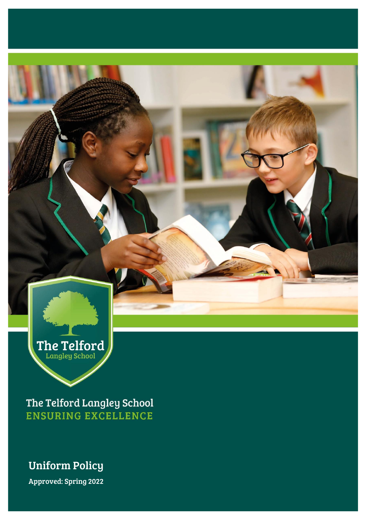

The Telford Langley School **ENSURING EXCELLENCE** 

# Uniform Policy

Approved: Spring 2022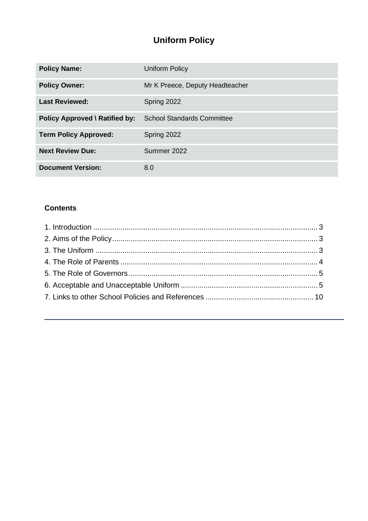# **Uniform Policy**

| <b>Policy Name:</b>                   | <b>Uniform Policy</b>             |
|---------------------------------------|-----------------------------------|
| <b>Policy Owner:</b>                  | Mr K Preece, Deputy Headteacher   |
| <b>Last Reviewed:</b>                 | Spring 2022                       |
| <b>Policy Approved \ Ratified by:</b> | <b>School Standards Committee</b> |
| <b>Term Policy Approved:</b>          | Spring 2022                       |
| <b>Next Review Due:</b>               | Summer 2022                       |
| <b>Document Version:</b>              | 8.0                               |

#### **Contents**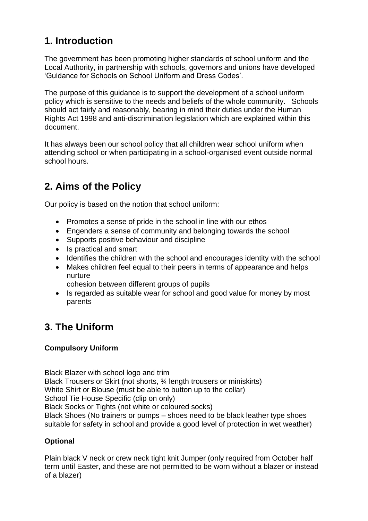# <span id="page-2-0"></span>**1. Introduction**

The government has been promoting higher standards of school uniform and the Local Authority, in partnership with schools, governors and unions have developed 'Guidance for Schools on School Uniform and Dress Codes'.

The purpose of this guidance is to support the development of a school uniform policy which is sensitive to the needs and beliefs of the whole community. Schools should act fairly and reasonably, bearing in mind their duties under the Human Rights Act 1998 and anti-discrimination legislation which are explained within this document.

It has always been our school policy that all children wear school uniform when attending school or when participating in a school-organised event outside normal school hours.

# <span id="page-2-1"></span>**2. Aims of the Policy**

Our policy is based on the notion that school uniform:

- Promotes a sense of pride in the school in line with our ethos
- Engenders a sense of community and belonging towards the school
- Supports positive behaviour and discipline
- Is practical and smart
- Identifies the children with the school and encourages identity with the school
- Makes children feel equal to their peers in terms of appearance and helps nurture

cohesion between different groups of pupils

• Is regarded as suitable wear for school and good value for money by most parents

### <span id="page-2-2"></span>**3. The Uniform**

#### **Compulsory Uniform**

Black Blazer with school logo and trim Black Trousers or Skirt (not shorts, ¾ length trousers or miniskirts) White Shirt or Blouse (must be able to button up to the collar) School Tie House Specific (clip on only) Black Socks or Tights (not white or coloured socks) Black Shoes (No trainers or pumps – shoes need to be black leather type shoes suitable for safety in school and provide a good level of protection in wet weather)

#### **Optional**

Plain black V neck or crew neck tight knit Jumper (only required from October half term until Easter, and these are not permitted to be worn without a blazer or instead of a blazer)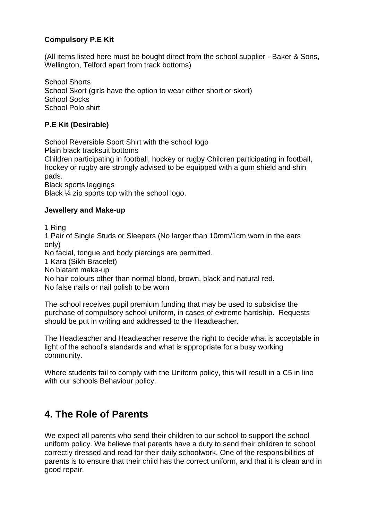#### **Compulsory P.E Kit**

(All items listed here must be bought direct from the school supplier - Baker & Sons, Wellington, Telford apart from track bottoms)

School Shorts School Skort (girls have the option to wear either short or skort) School Socks School Polo shirt

#### **P.E Kit (Desirable)**

School Reversible Sport Shirt with the school logo Plain black tracksuit bottoms Children participating in football, hockey or rugby Children participating in football,

hockey or rugby are strongly advised to be equipped with a gum shield and shin pads.

Black sports leggings

Black ¼ zip sports top with the school logo.

#### **Jewellery and Make-up**

1 Ring

1 Pair of Single Studs or Sleepers (No larger than 10mm/1cm worn in the ears only)

No facial, tongue and body piercings are permitted.

1 Kara (Sikh Bracelet)

No blatant make-up

No hair colours other than normal blond, brown, black and natural red. No false nails or nail polish to be worn

The school receives pupil premium funding that may be used to subsidise the purchase of compulsory school uniform, in cases of extreme hardship. Requests should be put in writing and addressed to the Headteacher.

The Headteacher and Headteacher reserve the right to decide what is acceptable in light of the school's standards and what is appropriate for a busy working community.

Where students fail to comply with the Uniform policy, this will result in a C5 in line with our schools Behaviour policy.

### <span id="page-3-0"></span>**4. The Role of Parents**

We expect all parents who send their children to our school to support the school uniform policy. We believe that parents have a duty to send their children to school correctly dressed and read for their daily schoolwork. One of the responsibilities of parents is to ensure that their child has the correct uniform, and that it is clean and in good repair.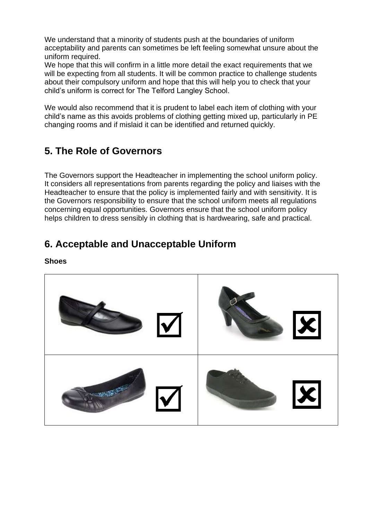We understand that a minority of students push at the boundaries of uniform acceptability and parents can sometimes be left feeling somewhat unsure about the uniform required.

We hope that this will confirm in a little more detail the exact requirements that we will be expecting from all students. It will be common practice to challenge students about their compulsory uniform and hope that this will help you to check that your child's uniform is correct for The Telford Langley School.

We would also recommend that it is prudent to label each item of clothing with your child's name as this avoids problems of clothing getting mixed up, particularly in PE changing rooms and if mislaid it can be identified and returned quickly.

## <span id="page-4-0"></span>**5. The Role of Governors**

The Governors support the Headteacher in implementing the school uniform policy. It considers all representations from parents regarding the policy and liaises with the Headteacher to ensure that the policy is implemented fairly and with sensitivity. It is the Governors responsibility to ensure that the school uniform meets all regulations concerning equal opportunities. Governors ensure that the school uniform policy helps children to dress sensibly in clothing that is hardwearing, safe and practical.

## <span id="page-4-1"></span>**6. Acceptable and Unacceptable Uniform**



#### **Shoes**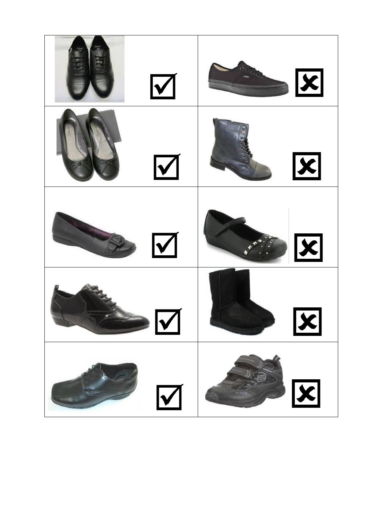| $\Delta$             | $\mathbf{\overline{X}}$ |
|----------------------|-------------------------|
| $\blacktriangledown$ | $\mathbf{\overline{X}}$ |
| $\Delta$             | $\mathbf{\overline{X}}$ |
| $\blacktriangledown$ | $ \mathbf{x} $          |
| $\blacktriangledown$ | $\overline{\mathbf{x}}$ |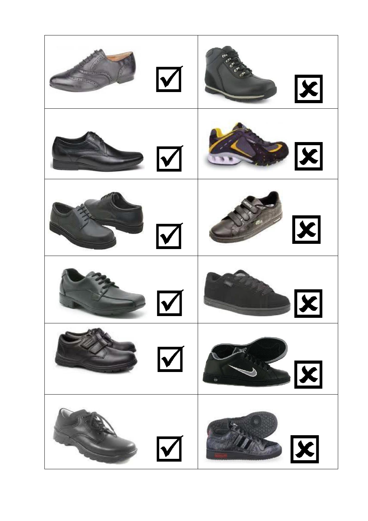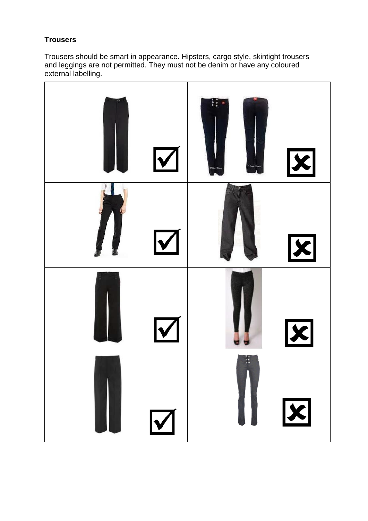### **Trousers**

Trousers should be smart in appearance. Hipsters, cargo style, skintight trousers and leggings are not permitted. They must not be denim or have any coloured external labelling.

|  | $ \boldsymbol{\chi} $ |
|--|-----------------------|
|  | $\vert\bm{x}\vert$    |
|  | X                     |
|  |                       |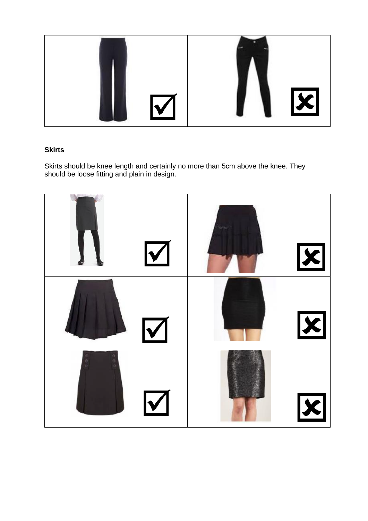

#### **Skirts**

Skirts should be knee length and certainly no more than 5cm above the knee. They should be loose fitting and plain in design.